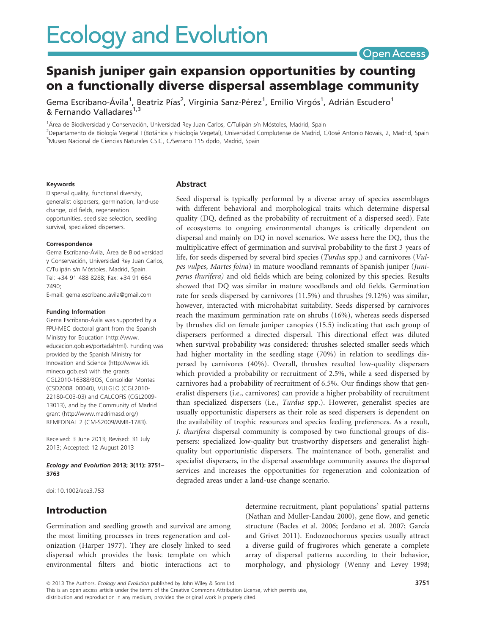# Spanish juniper gain expansion opportunities by counting on a functionally diverse dispersal assemblage community

Gema Escribano-Ávila<sup>1</sup>, Beatriz Pías<sup>2</sup>, Virginia Sanz-Pérez<sup>1</sup>, Emilio Virgós<sup>1</sup>, Adrián Escudero<sup>1</sup> & Fernando Valladares<sup>1,3</sup>

<sup>1</sup>Área de Biodiversidad y Conservación, Universidad Rey Juan Carlos, C/Tulipán s/n Móstoles, Madrid, Spain

<sup>2</sup>Departamento de Biología Vegetal I (Botánica y Fisiología Vegetal), Universidad Complutense de Madrid, C/José Antonio Novais, 2, Madrid, Spain <sup>3</sup>Museo Nacional de Ciencias Naturales CSIC, C/Serrano 115 dpdo, Madrid, Spain

#### Keywords

Dispersal quality, functional diversity, generalist dispersers, germination, land-use change, old fields, regeneration opportunities, seed size selection, seedling survival, specialized dispersers.

#### Correspondence

Gema Escribano-Ávila, Área de Biodiversidad y Conservación, Universidad Rey Juan Carlos, C/Tulipán s/n Móstoles, Madrid, Spain. Tel: +34 91 488 8288; Fax: +34 91 664 7490;

E-mail: gema.escribano.avila@gmail.com

#### Funding Information

Gema Escribano-Ávila was supported by a FPU-MEC doctoral grant from the Spanish Ministry for Education (http://www. educacion.gob.es/portadahtml). Funding was provided by the Spanish Ministry for Innovation and Science (http://www.idi. mineco.gob.es/) with the grants CGL2010-16388/BOS, Consolider Montes (CSD2008\_00040), VULGLO (CGL2010- 22180-C03-03) and CALCOFIS (CGL2009- 13013), and by the Community of Madrid grant (http://www.madrimasd.org/) REMEDINAL 2 (CM-S2009/AMB-1783).

Received: 3 June 2013; Revised: 31 July 2013; Accepted: 12 August 2013

Ecology and Evolution 2013; 3(11): 3751– 3763

doi: 10.1002/ece3.753

# Introduction

Germination and seedling growth and survival are among the most limiting processes in trees regeneration and colonization (Harper 1977). They are closely linked to seed dispersal which provides the basic template on which environmental filters and biotic interactions act to

Abstract

Seed dispersal is typically performed by a diverse array of species assemblages with different behavioral and morphological traits which determine dispersal quality (DQ, defined as the probability of recruitment of a dispersed seed). Fate of ecosystems to ongoing environmental changes is critically dependent on dispersal and mainly on DQ in novel scenarios. We assess here the DQ, thus the multiplicative effect of germination and survival probability to the first 3 years of life, for seeds dispersed by several bird species (Turdus spp.) and carnivores (Vulpes vulpes, Martes foina) in mature woodland remnants of Spanish juniper (Juniperus thurifera) and old fields which are being colonized by this species. Results showed that DQ was similar in mature woodlands and old fields. Germination rate for seeds dispersed by carnivores (11.5%) and thrushes (9.12%) was similar, however, interacted with microhabitat suitability. Seeds dispersed by carnivores reach the maximum germination rate on shrubs (16%), whereas seeds dispersed by thrushes did on female juniper canopies (15.5) indicating that each group of dispersers performed a directed dispersal. This directional effect was diluted when survival probability was considered: thrushes selected smaller seeds which had higher mortality in the seedling stage (70%) in relation to seedlings dispersed by carnivores (40%). Overall, thrushes resulted low-quality dispersers which provided a probability or recruitment of 2.5%, while a seed dispersed by carnivores had a probability of recruitment of 6.5%. Our findings show that generalist dispersers (i.e., carnivores) can provide a higher probability of recruitment than specialized dispersers (i.e., Turdus spp.). However, generalist species are usually opportunistic dispersers as their role as seed dispersers is dependent on the availability of trophic resources and species feeding preferences. As a result, J. thurifera dispersal community is composed by two functional groups of dispersers: specialized low-quality but trustworthy dispersers and generalist highquality but opportunistic dispersers. The maintenance of both, generalist and specialist dispersers, in the dispersal assemblage community assures the dispersal services and increases the opportunities for regeneration and colonization of degraded areas under a land-use change scenario.

> determine recruitment, plant populations' spatial patterns (Nathan and Muller-Landau 2000), gene flow, and genetic structure (Bacles et al. 2006; Jordano et al. 2007; García and Grivet 2011). Endozoochorous species usually attract a diverse guild of frugivores which generate a complete array of dispersal patterns according to their behavior, morphology, and physiology (Wenny and Levey 1998;

ª 2013 The Authors. Ecology and Evolution published by John Wiley & Sons Ltd.

This is an open access article under the terms of the Creative Commons Attribution License, which permits use, distribution and reproduction in any medium, provided the original work is properly cited.

Open Access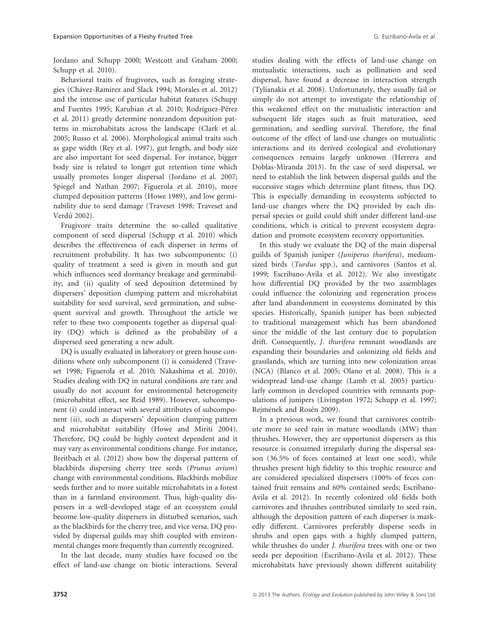Jordano and Schupp 2000; Westcott and Graham 2000; Schupp et al. 2010).

Behavioral traits of frugivores, such as foraging strategies (Chavez-Ramirez and Slack 1994; Morales et al. 2012) and the intense use of particular habitat features (Schupp and Fuentes 1995; Karubian et al. 2010; Rodríguez-Pérez et al. 2011) greatly determine nonrandom deposition patterns in microhabitats across the landscape (Clark et al. 2005; Russo et al. 2006). Morphological animal traits such as gape width (Rey et al. 1997), gut length, and body size are also important for seed dispersal. For instance, bigger body size is related to longer gut retention time which usually promotes longer dispersal (Jordano et al. 2007; Spiegel and Nathan 2007; Figuerola et al. 2010), more clumped deposition patterns (Howe 1989), and low germinability due to seed damage (Traveset 1998; Traveset and Verdú 2002).

Frugivore traits determine the so-called qualitative component of seed dispersal (Schupp et al. 2010) which describes the effectiveness of each disperser in terms of recruitment probability. It has two subcomponents: (i) quality of treatment a seed is given in mouth and gut which influences seed dormancy breakage and germinability; and (ii) quality of seed deposition determined by dispersers' deposition clumping pattern and microhabitat suitability for seed survival, seed germination, and subsequent survival and growth. Throughout the article we refer to these two components together as dispersal quality (DQ) which is defined as the probability of a dispersed seed generating a new adult.

DQ is usually evaluated in laboratory or green house conditions where only subcomponent (i) is considered (Traveset 1998; Figuerola et al. 2010; Nakashima et al. 2010). Studies dealing with DQ in natural conditions are rare and usually do not account for environmental heterogeneity (microhabitat effect, see Reid 1989). However, subcomponent (i) could interact with several attributes of subcomponent (ii), such as dispersers' deposition clumping pattern and microhabitat suitability (Howe and Miriti 2004). Therefore, DQ could be highly context dependent and it may vary as environmental conditions change. For instance, Breitbach et al. (2012) show how the dispersal patterns of blackbirds dispersing cherry tree seeds (Prunus avium) change with environmental conditions. Blackbirds mobilize seeds further and to more suitable microhabitats in a forest than in a farmland environment. Thus, high-quality dispersers in a well-developed stage of an ecosystem could become low-quality dispersers in disturbed scenarios, such as the blackbirds for the cherry tree, and vice versa. DQ provided by dispersal guilds may shift coupled with environmental changes more frequently than currently recognized.

In the last decade, many studies have focused on the effect of land-use change on biotic interactions. Several

studies dealing with the effects of land-use change on mutualistic interactions, such as pollination and seed dispersal, have found a decrease in interaction strength (Tylianakis et al. 2008). Unfortunately, they usually fail or simply do not attempt to investigate the relationship of this weakened effect on the mutualistic interaction and subsequent life stages such as fruit maturation, seed germination, and seedling survival. Therefore, the final outcome of the effect of land-use changes on mutualistic interactions and its derived ecological and evolutionary consequences remains largely unknown (Herrera and Doblas-Miranda 2013). In the case of seed dispersal, we need to establish the link between dispersal guilds and the successive stages which determine plant fitness, thus DQ. This is especially demanding in ecosystems subjected to land-use changes where the DQ provided by each dispersal species or guild could shift under different land-use conditions, which is critical to prevent ecosystem degradation and promote ecosystem recovery opportunities.

In this study we evaluate the DQ of the main dispersal guilds of Spanish juniper (Juniperus thurifera), mediumsized birds (Turdus spp.), and carnivores (Santos et al. 1999; Escribano-Avila et al. 2012). We also investigate how differential DQ provided by the two assemblages could influence the colonizing and regeneration process after land abandonment in ecosystems dominated by this species. Historically, Spanish juniper has been subjected to traditional management which has been abandoned since the middle of the last century due to population drift. Consequently, J. thurifera remnant woodlands are expanding their boundaries and colonizing old fields and grasslands, which are turning into new colonization areas (NCA) (Blanco et al. 2005; Olano et al. 2008). This is a widespread land-use change (Lamb et al. 2005) particularly common in developed countries with remnants populations of junipers (Livingston 1972; Schupp et al. 1997; Rejmének and Rosén 2009).

In a previous work, we found that carnivores contribute more to seed rain in mature woodlands (MW) than thrushes. However, they are opportunist dispersers as this resource is consumed irregularly during the dispersal season (36.5% of feces contained at least one seed), while thrushes present high fidelity to this trophic resource and are considered specialized dispersers (100% of feces contained fruit remains and 60% contained seeds; Escribano-Avila et al. 2012). In recently colonized old fields both carnivores and thrushes contributed similarly to seed rain, although the deposition pattern of each disperser is markedly different. Carnivores preferably disperse seeds in shrubs and open gaps with a highly clumped pattern, while thrushes do under J. thurifera trees with one or two seeds per deposition (Escribano-Avila et al. 2012). These microhabitats have previously shown different suitability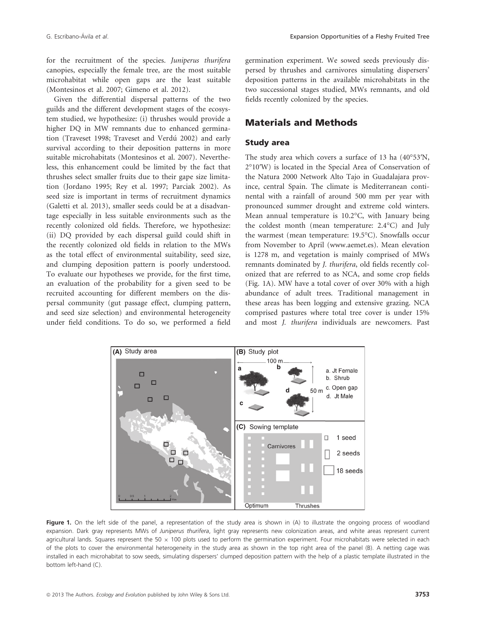for the recruitment of the species. Juniperus thurifera canopies, especially the female tree, are the most suitable microhabitat while open gaps are the least suitable (Montesinos et al. 2007; Gimeno et al. 2012).

Given the differential dispersal patterns of the two guilds and the different development stages of the ecosystem studied, we hypothesize: (i) thrushes would provide a higher DQ in MW remnants due to enhanced germination (Traveset 1998; Traveset and Verdú 2002) and early survival according to their deposition patterns in more suitable microhabitats (Montesinos et al. 2007). Nevertheless, this enhancement could be limited by the fact that thrushes select smaller fruits due to their gape size limitation (Jordano 1995; Rey et al. 1997; Parciak 2002). As seed size is important in terms of recruitment dynamics (Galetti et al. 2013), smaller seeds could be at a disadvantage especially in less suitable environments such as the recently colonized old fields. Therefore, we hypothesize: (ii) DQ provided by each dispersal guild could shift in the recently colonized old fields in relation to the MWs as the total effect of environmental suitability, seed size, and clumping deposition pattern is poorly understood. To evaluate our hypotheses we provide, for the first time, an evaluation of the probability for a given seed to be recruited accounting for different members on the dispersal community (gut passage effect, clumping pattern, and seed size selection) and environmental heterogeneity under field conditions. To do so, we performed a field germination experiment. We sowed seeds previously dispersed by thrushes and carnivores simulating dispersers' deposition patterns in the available microhabitats in the two successional stages studied, MWs remnants, and old fields recently colonized by the species.

# Materials and Methods

### Study area

The study area which covers a surface of 13 ha (40°53′N, 2°10′W) is located in the Special Area of Conservation of the Natura 2000 Network Alto Tajo in Guadalajara province, central Spain. The climate is Mediterranean continental with a rainfall of around 500 mm per year with pronounced summer drought and extreme cold winters. Mean annual temperature is 10.2°C, with January being the coldest month (mean temperature: 2.4°C) and July the warmest (mean temperature: 19.5°C). Snowfalls occur from November to April (www.aemet.es). Mean elevation is 1278 m, and vegetation is mainly comprised of MWs remnants dominated by J. thurifera, old fields recently colonized that are referred to as NCA, and some crop fields (Fig. 1A). MW have a total cover of over 30% with a high abundance of adult trees. Traditional management in these areas has been logging and extensive grazing. NCA comprised pastures where total tree cover is under 15% and most J. thurifera individuals are newcomers. Past



Figure 1. On the left side of the panel, a representation of the study area is shown in (A) to illustrate the ongoing process of woodland expansion. Dark gray represents MWs of Juniperus thurifera, light gray represents new colonization areas, and white areas represent current agricultural lands. Squares represent the 50  $\times$  100 plots used to perform the germination experiment. Four microhabitats were selected in each of the plots to cover the environmental heterogeneity in the study area as shown in the top right area of the panel (B). A netting cage was installed in each microhabitat to sow seeds, simulating dispersers' clumped deposition pattern with the help of a plastic template illustrated in the bottom left-hand (C).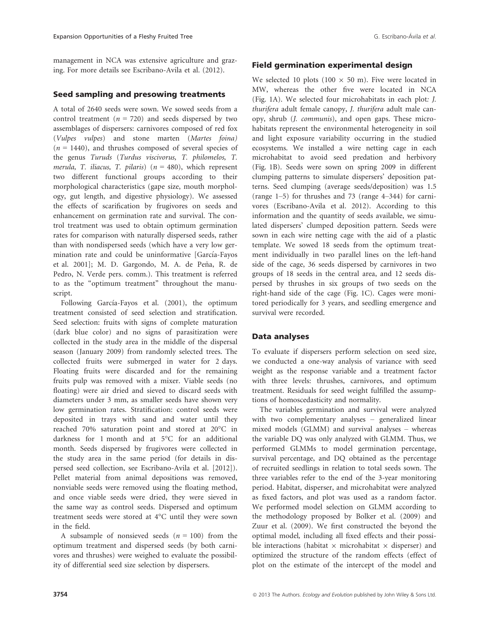management in NCA was extensive agriculture and grazing. For more details see Escribano-Avila et al. (2012).

#### Seed sampling and presowing treatments

A total of 2640 seeds were sown. We sowed seeds from a control treatment ( $n = 720$ ) and seeds dispersed by two assemblages of dispersers: carnivores composed of red fox (Vulpes vulpes) and stone marten (Martes foina)  $(n = 1440)$ , and thrushes composed of several species of the genus Turuds (Turdus viscivorus, T. philomelos, T. merula, T. iliacus, T. pilaris) ( $n = 480$ ), which represent two different functional groups according to their morphological characteristics (gape size, mouth morphology, gut length, and digestive physiology). We assessed the effects of scarification by frugivores on seeds and enhancement on germination rate and survival. The control treatment was used to obtain optimum germination rates for comparison with naturally dispersed seeds, rather than with nondispersed seeds (which have a very low germination rate and could be uninformative [García-Fayos et al. 2001]; M. D. Gargondo, M. A. de Peña, R. de Pedro, N. Verde pers. comm.). This treatment is referred to as the "optimum treatment" throughout the manuscript.

Following García-Fayos et al. (2001), the optimum treatment consisted of seed selection and stratification. Seed selection: fruits with signs of complete maturation (dark blue color) and no signs of parasitization were collected in the study area in the middle of the dispersal season (January 2009) from randomly selected trees. The collected fruits were submerged in water for 2 days. Floating fruits were discarded and for the remaining fruits pulp was removed with a mixer. Viable seeds (no floating) were air dried and sieved to discard seeds with diameters under 3 mm, as smaller seeds have shown very low germination rates. Stratification: control seeds were deposited in trays with sand and water until they reached 70% saturation point and stored at 20°C in darkness for 1 month and at 5°C for an additional month. Seeds dispersed by frugivores were collected in the study area in the same period (for details in dispersed seed collection, see Escribano-Avila et al. [2012]). Pellet material from animal depositions was removed, nonviable seeds were removed using the floating method, and once viable seeds were dried, they were sieved in the same way as control seeds. Dispersed and optimum treatment seeds were stored at 4°C until they were sown in the field.

A subsample of nonsieved seeds  $(n = 100)$  from the optimum treatment and dispersed seeds (by both carnivores and thrushes) were weighed to evaluate the possibility of differential seed size selection by dispersers.

### Field germination experimental design

We selected 10 plots (100  $\times$  50 m). Five were located in MW, whereas the other five were located in NCA (Fig. 1A). We selected four microhabitats in each plot: J. thurifera adult female canopy, J. thurifera adult male canopy, shrub (J. communis), and open gaps. These microhabitats represent the environmental heterogeneity in soil and light exposure variability occurring in the studied ecosystems. We installed a wire netting cage in each microhabitat to avoid seed predation and herbivory (Fig. 1B). Seeds were sown on spring 2009 in different clumping patterns to simulate dispersers' deposition patterns. Seed clumping (average seeds/deposition) was 1.5 (range 1–5) for thrushes and 73 (range 4–344) for carnivores (Escribano-Avila et al. 2012). According to this information and the quantity of seeds available, we simulated dispersers' clumped deposition pattern. Seeds were sown in each wire netting cage with the aid of a plastic template. We sowed 18 seeds from the optimum treatment individually in two parallel lines on the left-hand side of the cage, 36 seeds dispersed by carnivores in two groups of 18 seeds in the central area, and 12 seeds dispersed by thrushes in six groups of two seeds on the right-hand side of the cage (Fig. 1C). Cages were monitored periodically for 3 years, and seedling emergence and survival were recorded.

#### Data analyses

To evaluate if dispersers perform selection on seed size, we conducted a one-way analysis of variance with seed weight as the response variable and a treatment factor with three levels: thrushes, carnivores, and optimum treatment. Residuals for seed weight fulfilled the assumptions of homoscedasticity and normality.

The variables germination and survival were analyzed with two complementary analyses – generalized linear mixed models (GLMM) and survival analyses – whereas the variable DQ was only analyzed with GLMM. Thus, we performed GLMMs to model germination percentage, survival percentage, and DQ obtained as the percentage of recruited seedlings in relation to total seeds sown. The three variables refer to the end of the 3-year monitoring period. Habitat, disperser, and microhabitat were analyzed as fixed factors, and plot was used as a random factor. We performed model selection on GLMM according to the methodology proposed by Bolker et al. (2009) and Zuur et al. (2009). We first constructed the beyond the optimal model, including all fixed effects and their possible interactions (habitat  $\times$  microhabitat  $\times$  disperser) and optimized the structure of the random effects (effect of plot on the estimate of the intercept of the model and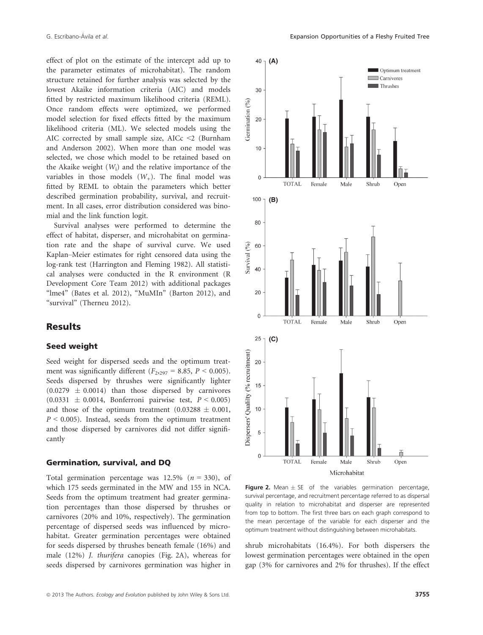effect of plot on the estimate of the intercept add up to the parameter estimates of microhabitat). The random structure retained for further analysis was selected by the lowest Akaike information criteria (AIC) and models fitted by restricted maximum likelihood criteria (REML). Once random effects were optimized, we performed model selection for fixed effects fitted by the maximum likelihood criteria (ML). We selected models using the AIC corrected by small sample size, AICc  $\leq$  2 (Burnham and Anderson 2002). When more than one model was selected, we chose which model to be retained based on the Akaike weight  $(W_i)$  and the relative importance of the variables in those models  $(W_+)$ . The final model was fitted by REML to obtain the parameters which better described germination probability, survival, and recruitment. In all cases, error distribution considered was binomial and the link function logit.

Survival analyses were performed to determine the effect of habitat, disperser, and microhabitat on germination rate and the shape of survival curve. We used Kaplan–Meier estimates for right censored data using the log-rank test (Harrington and Fleming 1982). All statistical analyses were conducted in the R environment (R Development Core Team 2012) with additional packages "lme4" (Bates et al. 2012), "MuMIn" (Barton 2012), and "survival" (Therneu 2012).

# **Results**

#### Seed weight

Seed weight for dispersed seeds and the optimum treatment was significantly different  $(F_{2,297} = 8.85, P \le 0.005)$ . Seeds dispersed by thrushes were significantly lighter  $(0.0279 \pm 0.0014)$  than those dispersed by carnivores  $(0.0331 \pm 0.0014,$  Bonferroni pairwise test,  $P < 0.005$ ) and those of the optimum treatment  $(0.03288 \pm 0.001,$  $P < 0.005$ ). Instead, seeds from the optimum treatment and those dispersed by carnivores did not differ significantly

#### Germination, survival, and DQ

Total germination percentage was 12.5% ( $n = 330$ ), of which 175 seeds germinated in the MW and 155 in NCA. Seeds from the optimum treatment had greater germination percentages than those dispersed by thrushes or carnivores (20% and 10%, respectively). The germination percentage of dispersed seeds was influenced by microhabitat. Greater germination percentages were obtained for seeds dispersed by thrushes beneath female (16%) and male (12%) J. thurifera canopies (Fig. 2A), whereas for seeds dispersed by carnivores germination was higher in



**Figure 2.** Mean  $\pm$  SE of the variables germination percentage, survival percentage, and recruitment percentage referred to as dispersal quality in relation to microhabitat and disperser are represented from top to bottom. The first three bars on each graph correspond to the mean percentage of the variable for each disperser and the optimum treatment without distinguishing between microhabitats.

shrub microhabitats (16.4%). For both dispersers the lowest germination percentages were obtained in the open gap (3% for carnivores and 2% for thrushes). If the effect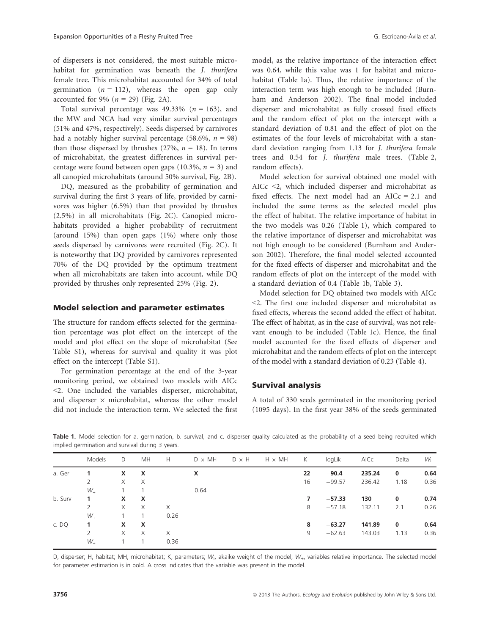of dispersers is not considered, the most suitable microhabitat for germination was beneath the *J. thurifera* female tree. This microhabitat accounted for 34% of total germination  $(n = 112)$ , whereas the open gap only accounted for 9% ( $n = 29$ ) (Fig. 2A).

Total survival percentage was 49.33% ( $n = 163$ ), and the MW and NCA had very similar survival percentages (51% and 47%, respectively). Seeds dispersed by carnivores had a notably higher survival percentage (58.6%,  $n = 98$ ) than those dispersed by thrushes (27%,  $n = 18$ ). In terms of microhabitat, the greatest differences in survival percentage were found between open gaps (10.3%,  $n = 3$ ) and all canopied microhabitats (around 50% survival, Fig. 2B).

DQ, measured as the probability of germination and survival during the first 3 years of life, provided by carnivores was higher (6.5%) than that provided by thrushes (2.5%) in all microhabitats (Fig. 2C). Canopied microhabitats provided a higher probability of recruitment (around 15%) than open gaps (1%) where only those seeds dispersed by carnivores were recruited (Fig. 2C). It is noteworthy that DQ provided by carnivores represented 70% of the DQ provided by the optimum treatment when all microhabitats are taken into account, while DQ provided by thrushes only represented 25% (Fig. 2).

#### Model selection and parameter estimates

The structure for random effects selected for the germination percentage was plot effect on the intercept of the model and plot effect on the slope of microhabitat (See Table S1), whereas for survival and quality it was plot effect on the intercept (Table S1).

For germination percentage at the end of the 3-year monitoring period, we obtained two models with AICc <2. One included the variables disperser, microhabitat, and disperser  $\times$  microhabitat, whereas the other model did not include the interaction term. We selected the first model, as the relative importance of the interaction effect was 0.64, while this value was 1 for habitat and microhabitat (Table 1a). Thus, the relative importance of the interaction term was high enough to be included (Burnham and Anderson 2002). The final model included disperser and microhabitat as fully crossed fixed effects and the random effect of plot on the intercept with a standard deviation of 0.81 and the effect of plot on the estimates of the four levels of microhabitat with a standard deviation ranging from 1.13 for J. thurifera female trees and 0.54 for J. thurifera male trees. (Table 2, random effects).

Model selection for survival obtained one model with AICc <2, which included disperser and microhabitat as fixed effects. The next model had an AIC $c = 2.1$  and included the same terms as the selected model plus the effect of habitat. The relative importance of habitat in the two models was 0.26 (Table 1), which compared to the relative importance of disperser and microhabitat was not high enough to be considered (Burnham and Anderson 2002). Therefore, the final model selected accounted for the fixed effects of disperser and microhabitat and the random effects of plot on the intercept of the model with a standard deviation of 0.4 (Table 1b, Table 3).

Model selection for DQ obtained two models with AICc <2. The first one included disperser and microhabitat as fixed effects, whereas the second added the effect of habitat. The effect of habitat, as in the case of survival, was not relevant enough to be included (Table 1c). Hence, the final model accounted for the fixed effects of disperser and microhabitat and the random effects of plot on the intercept of the model with a standard deviation of 0.23 (Table 4).

#### Survival analysis

A total of 330 seeds germinated in the monitoring period (1095 days). In the first year 38% of the seeds germinated

|         | Models         | D            | <b>MH</b> | Н    | $D \times MH$ | $D \times H$ | $H \times MH$ | К  | logLik   | AICc   | Delta | $W_i$ |
|---------|----------------|--------------|-----------|------|---------------|--------------|---------------|----|----------|--------|-------|-------|
| a. Ger  | 1.             | x            | X         |      | X             |              |               | 22 | $-90.4$  | 235.24 | 0     | 0.64  |
|         |                | $\times$     | $\times$  |      |               |              |               | 16 | $-99.57$ | 236.42 | 1.18  | 0.36  |
|         | $W_{+}$        |              |           |      | 0.64          |              |               |    |          |        |       |       |
| b. Surv | 1.             | $\mathsf{x}$ | X         |      |               |              |               | 7  | $-57.33$ | 130    | 0     | 0.74  |
|         | $\overline{2}$ | X            | $\times$  | X    |               |              |               | 8  | $-57.18$ | 132.11 | 2.1   | 0.26  |
|         | $W_{+}$        |              |           | 0.26 |               |              |               |    |          |        |       |       |
| c. DQ   | 1.             | $\mathsf{x}$ | X         |      |               |              |               | 8  | $-63.27$ | 141.89 | 0     | 0.64  |
|         | 2              | $\times$     | $\times$  | X    |               |              |               | 9  | $-62.63$ | 143.03 | 1.13  | 0.36  |
|         | $W_{+}$        |              |           | 0.36 |               |              |               |    |          |        |       |       |

Table 1. Model selection for a. germination, b. survival, and c. disperser quality calculated as the probability of a seed being recruited which implied germination and survival during 3 years.

D, disperser; H, habitat; MH, microhabitat; K, parameters;  $W_{\text{i}}$ , akaike weight of the model;  $W_{\text{i}}$ , variables relative importance. The selected model for parameter estimation is in bold. A cross indicates that the variable was present in the model.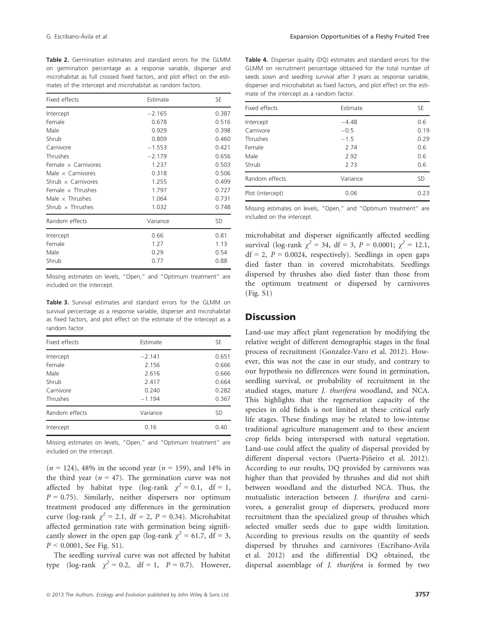G. Escribano-Ávila et al. **Expansion Opportunities of a Fleshy Fruited Tree G. Escribano-Ávila et al.** 

Table 2. Germination estimates and standard errors for the GLMM on germination percentage as a response variable, disperser and microhabitat as full crossed fixed factors, and plot effect on the estimates of the intercept and microhabitat as random factors.

| Fixed effects              | Estimate | SE        |
|----------------------------|----------|-----------|
| Intercept                  | $-2.165$ | 0.387     |
| Female                     | 0.678    | 0.516     |
| Male                       | 0.929    | 0.398     |
| Shrub                      | 0.809    | 0.460     |
| Carnivore                  | $-1.553$ | 0.421     |
| Thrushes                   | $-2.179$ | 0.656     |
| Female $\times$ Carnivores | 1.237    | 0.503     |
| Male $\times$ Carnivores   | 0.318    | 0.506     |
| Shrub $\times$ Carnivores  | 1.255    | 0.499     |
| Female $\times$ Thrushes   | 1.797    | 0.727     |
| Male $\times$ Thrushes     | 1.064    | 0.731     |
| Shrub $\times$ Thrushes    | 1.032    | 0.748     |
| Random effects             | Variance | <b>SD</b> |
| Intercept                  | 0.66     | 0.81      |
| Female                     | 1.27     | 1.13      |
| Male                       | 0.29     | 0.54      |
| Shrub                      | 0.77     | 0.88      |

Missing estimates on levels, "Open," and "Optimum treatment" are included on the intercept.

Table 3. Survival estimates and standard errors for the GLMM on survival percentage as a response variable, disperser and microhabitat as fixed factors, and plot effect on the estimate of the intercept as a random factor.

| Fixed effects  | Estimate | <b>SE</b> |  |
|----------------|----------|-----------|--|
| Intercept      | $-2.141$ | 0.651     |  |
| Female         | 2.156    | 0.666     |  |
| Male           | 2.616    | 0.666     |  |
| Shrub          | 2.417    | 0.664     |  |
| Carnivore      | 0.240    | 0.282     |  |
| Thrushes       | $-1.194$ | 0.367     |  |
| Random effects | Variance | <b>SD</b> |  |
| Intercept      | 0.16     | 0.40      |  |

Missing estimates on levels, "Open," and "Optimum treatment" are included on the intercept.

 $(n = 124)$ , 48% in the second year  $(n = 159)$ , and 14% in the third year ( $n = 47$ ). The germination curve was not affected by habitat type (log-rank  $\chi^2 = 0.1$ , df = 1,  $P = 0.75$ ). Similarly, neither dispersers nor optimum treatment produced any differences in the germination curve (log-rank  $\chi^2 = 2.1$ , df = 2, P = 0.34). Microhabitat affected germination rate with germination being significantly slower in the open gap (log-rank  $\gamma^2 = 61.7$ , df = 3,  $P < 0.0001$ , See Fig. S1).

The seedling survival curve was not affected by habitat type (log-rank  $\chi^2 = 0.2$ , df = 1,  $P = 0.7$ ). However,

Table 4. Disperser quality (DQ) estimates and standard errors for the GLMM on recruitment percentage obtained for the total number of seeds sown and seedling survival after 3 years as response variable, disperser and microhabitat as fixed factors, and plot effect on the estimate of the intercept as a random factor.

| Fixed effects    | Estimate | SE.  |
|------------------|----------|------|
| Intercept        | $-4.48$  | 0.6  |
| Carnivore        | $-0.5$   | 0.19 |
| Thrushes         | $-1.5$   | 0.29 |
| Female           | 2.74     | 0.6  |
| Male             | 2.92     | 0.6  |
| Shrub            | 2.73     | 0.6  |
| Random effects   | Variance | .SD  |
| Plot (intercept) | 0.06     | 0.23 |

Missing estimates on levels, "Open," and "Optimum treatment" are included on the intercept.

microhabitat and disperser significantly affected seedling survival (log-rank  $\chi^2 = 34$ , df = 3, P = 0.0001;  $\chi^2 = 12.1$ ,  $df = 2$ ,  $P = 0.0024$ , respectively). Seedlings in open gaps died faster than in covered microhabitats. Seedlings dispersed by thrushes also died faster than those from the optimum treatment or dispersed by carnivores (Fig. S1)

# **Discussion**

Land-use may affect plant regeneration by modifying the relative weight of different demographic stages in the final process of recruitment (Gonzalez-Varo et al. 2012). However, this was not the case in our study, and contrary to our hypothesis no differences were found in germination, seedling survival, or probability of recruitment in the studied stages, mature J. thurifera woodland, and NCA. This highlights that the regeneration capacity of the species in old fields is not limited at these critical early life stages. These findings may be related to low-intense traditional agriculture management and to these ancient crop fields being interspersed with natural vegetation. Land-use could affect the quality of dispersal provided by different dispersal vectors (Puerta-Piñeiro et al. 2012). According to our results, DQ provided by carnivores was higher than that provided by thrushes and did not shift between woodland and the disturbed NCA. Thus, the mutualistic interaction between J. thurifera and carnivores, a generalist group of dispersers, produced more recruitment than the specialized group of thrushes which selected smaller seeds due to gape width limitation. According to previous results on the quantity of seeds dispersed by thrushes and carnivores (Escribano-Avila et al. 2012) and the differential DQ obtained, the dispersal assemblage of J. thurifera is formed by two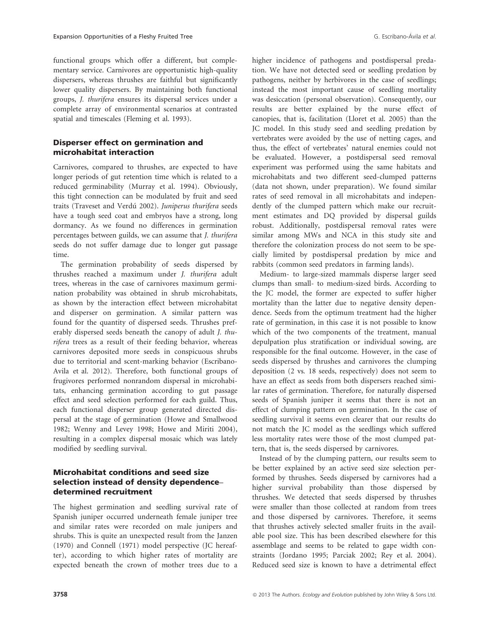functional groups which offer a different, but complementary service. Carnivores are opportunistic high-quality dispersers, whereas thrushes are faithful but significantly lower quality dispersers. By maintaining both functional groups, J. thurifera ensures its dispersal services under a complete array of environmental scenarios at contrasted spatial and timescales (Fleming et al. 1993).

# Disperser effect on germination and microhabitat interaction

Carnivores, compared to thrushes, are expected to have longer periods of gut retention time which is related to a reduced germinability (Murray et al. 1994). Obviously, this tight connection can be modulated by fruit and seed traits (Traveset and Verdú 2002). Juniperus thurifera seeds have a tough seed coat and embryos have a strong, long dormancy. As we found no differences in germination percentages between guilds, we can assume that J. thurifera seeds do not suffer damage due to longer gut passage time.

The germination probability of seeds dispersed by thrushes reached a maximum under J. thurifera adult trees, whereas in the case of carnivores maximum germination probability was obtained in shrub microhabitats, as shown by the interaction effect between microhabitat and disperser on germination. A similar pattern was found for the quantity of dispersed seeds. Thrushes preferably dispersed seeds beneath the canopy of adult J. thurifera trees as a result of their feeding behavior, whereas carnivores deposited more seeds in conspicuous shrubs due to territorial and scent-marking behavior (Escribano-Avila et al. 2012). Therefore, both functional groups of frugivores performed nonrandom dispersal in microhabitats, enhancing germination according to gut passage effect and seed selection performed for each guild. Thus, each functional disperser group generated directed dispersal at the stage of germination (Howe and Smallwood 1982; Wenny and Levey 1998; Howe and Miriti 2004), resulting in a complex dispersal mosaic which was lately modified by seedling survival.

### Microhabitat conditions and seed size selection instead of density dependence– determined recruitment

The highest germination and seedling survival rate of Spanish juniper occurred underneath female juniper tree and similar rates were recorded on male junipers and shrubs. This is quite an unexpected result from the Janzen (1970) and Connell (1971) model perspective (JC hereafter), according to which higher rates of mortality are expected beneath the crown of mother trees due to a

higher incidence of pathogens and postdispersal predation. We have not detected seed or seedling predation by pathogens, neither by herbivores in the case of seedlings; instead the most important cause of seedling mortality was desiccation (personal observation). Consequently, our results are better explained by the nurse effect of canopies, that is, facilitation (Lloret et al. 2005) than the JC model. In this study seed and seedling predation by vertebrates were avoided by the use of netting cages, and thus, the effect of vertebrates' natural enemies could not be evaluated. However, a postdispersal seed removal experiment was performed using the same habitats and microhabitats and two different seed-clumped patterns (data not shown, under preparation). We found similar rates of seed removal in all microhabitats and independently of the clumped pattern which make our recruitment estimates and DQ provided by dispersal guilds robust. Additionally, postdispersal removal rates were similar among MWs and NCA in this study site and therefore the colonization process do not seem to be specially limited by postdispersal predation by mice and rabbits (common seed predators in farming lands).

Medium- to large-sized mammals disperse larger seed clumps than small- to medium-sized birds. According to the JC model, the former are expected to suffer higher mortality than the latter due to negative density dependence. Seeds from the optimum treatment had the higher rate of germination, in this case it is not possible to know which of the two components of the treatment, manual depulpation plus stratification or individual sowing, are responsible for the final outcome. However, in the case of seeds dispersed by thrushes and carnivores the clumping deposition (2 vs. 18 seeds, respectively) does not seem to have an effect as seeds from both dispersers reached similar rates of germination. Therefore, for naturally dispersed seeds of Spanish juniper it seems that there is not an effect of clumping pattern on germination. In the case of seedling survival it seems even clearer that our results do not match the JC model as the seedlings which suffered less mortality rates were those of the most clumped pattern, that is, the seeds dispersed by carnivores.

Instead of by the clumping pattern, our results seem to be better explained by an active seed size selection performed by thrushes. Seeds dispersed by carnivores had a higher survival probability than those dispersed by thrushes. We detected that seeds dispersed by thrushes were smaller than those collected at random from trees and those dispersed by carnivores. Therefore, it seems that thrushes actively selected smaller fruits in the available pool size. This has been described elsewhere for this assemblage and seems to be related to gape width constraints (Jordano 1995; Parciak 2002; Rey et al. 2004). Reduced seed size is known to have a detrimental effect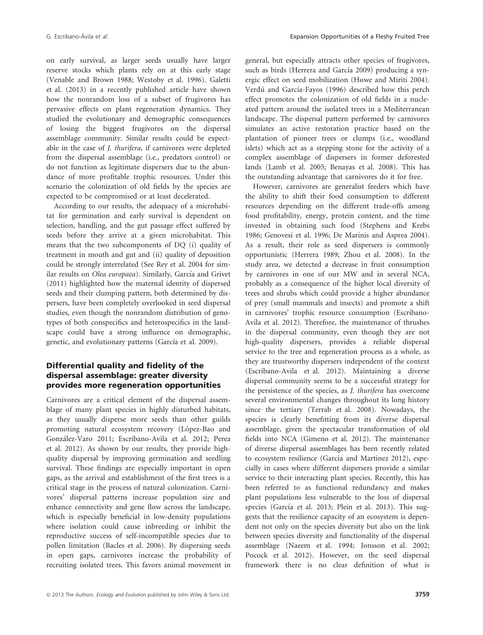on early survival, as larger seeds usually have larger reserve stocks which plants rely on at this early stage (Venable and Brown 1988; Westoby et al. 1996). Galetti et al. (2013) in a recently published article have shown how the nonrandom loss of a subset of frugivores has pervasive effects on plant regeneration dynamics. They studied the evolutionary and demographic consequences of losing the biggest frugivores on the dispersal assemblage community. Similar results could be expectable in the case of J. thurifera, if carnivores were depleted from the dispersal assemblage (i.e., predators control) or do not function as legitimate dispersers due to the abundance of more profitable trophic resources. Under this scenario the colonization of old fields by the species are expected to be compromised or at least decelerated.

According to our results, the adequacy of a microhabitat for germination and early survival is dependent on selection, handling, and the gut passage effect suffered by seeds before they arrive at a given microhabitat. This means that the two subcomponents of DQ (i) quality of treatment in mouth and gut and (ii) quality of deposition could be strongly interrelated (See Rey et al. 2004 for similar results on Olea europaea). Similarly, García and Grivet (2011) highlighted how the maternal identity of dispersed seeds and their clumping pattern, both determined by dispersers, have been completely overlooked in seed dispersal studies, even though the nonrandom distribution of genotypes of both conspecifics and heterospecifics in the landscape could have a strong influence on demographic, genetic, and evolutionary patterns (García et al. 2009).

# Differential quality and fidelity of the dispersal assemblage: greater diversity provides more regeneration opportunities

Carnivores are a critical element of the dispersal assemblage of many plant species in highly disturbed habitats, as they usually disperse more seeds than other guilds promoting natural ecosystem recovery (López-Bao and Gonzalez-Varo 2011; Escribano-Avila et al. 2012; Perea et al. 2012). As shown by our results, they provide highquality dispersal by improving germination and seedling survival. These findings are especially important in open gaps, as the arrival and establishment of the first trees is a critical stage in the process of natural colonization. Carnivores' dispersal patterns increase population size and enhance connectivity and gene flow across the landscape, which is especially beneficial in low-density populations where isolation could cause inbreeding or inhibit the reproductive success of self-incompatible species due to pollen limitation (Bacles et al. 2006). By dispersing seeds in open gaps, carnivores increase the probability of recruiting isolated trees. This favors animal movement in general, but especially attracts other species of frugivores, such as birds (Herrera and García 2009) producing a synergic effect on seed mobilization (Howe and Miriti 2004). Verdú and García-Fayos (1996) described how this perch effect promotes the colonization of old fields in a nucleated pattern around the isolated trees in a Mediterranean landscape. The dispersal pattern performed by carnivores simulates an active restoration practice based on the plantation of pioneer trees or clumps (i.e., woodland islets) which act as a stepping stone for the activity of a complex assemblage of dispersers in former deforested lands (Lamb et al. 2005; Benayas et al. 2008). This has the outstanding advantage that carnivores do it for free.

However, carnivores are generalist feeders which have the ability to shift their food consumption to different resources depending on the different trade-offs among food profitability, energy, protein content, and the time invested in obtaining such food (Stephens and Krebs 1986; Genovesi et al. 1996; De Marinis and Asprea 2004). As a result, their role as seed dispersers is commonly opportunistic (Herrera 1989; Zhou et al. 2008). In the study area, we detected a decrease in fruit consumption by carnivores in one of our MW and in several NCA, probably as a consequence of the higher local diversity of trees and shrubs which could provide a higher abundance of prey (small mammals and insects) and promote a shift in carnivores' trophic resource consumption (Escribano-Avila et al. 2012). Therefore, the maintenance of thrushes in the dispersal community, even though they are not high-quality dispersers, provides a reliable dispersal service to the tree and regeneration process as a whole, as they are trustworthy dispersers independent of the context (Escribano-Avila et al. 2012). Maintaining a diverse dispersal community seems to be a successful strategy for the persistence of the species, as J. thurifera has overcome several environmental changes throughout its long history since the tertiary (Terrab et al. 2008). Nowadays, the species is clearly benefitting from its diverse dispersal assemblage, given the spectacular transformation of old fields into NCA (Gimeno et al. 2012). The maintenance of diverse dispersal assemblages has been recently related to ecosystem resilience (Garcia and Martinez 2012), especially in cases where different dispersers provide a similar service to their interacting plant species. Recently, this has been referred to as functional redundancy and makes plant populations less vulnerable to the loss of dispersal species (García et al. 2013; Plein et al. 2013). This suggests that the resilience capacity of an ecosystem is dependent not only on the species diversity but also on the link between species diversity and functionality of the dispersal assemblage (Naeem et al. 1994; Jonsson et al. 2002; Pocock et al. 2012). However, on the seed dispersal framework there is no clear definition of what is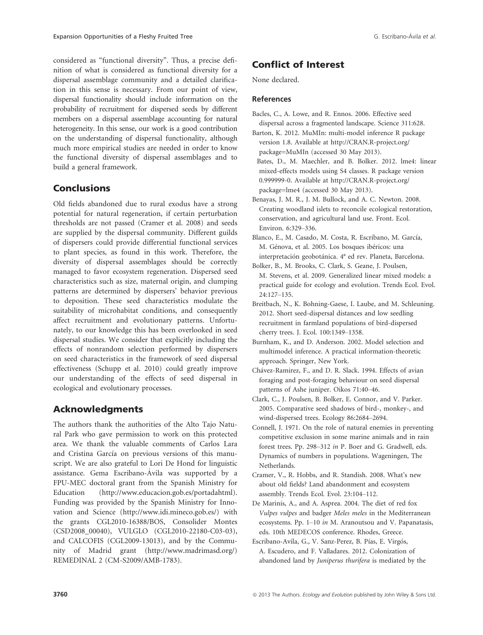considered as "functional diversity". Thus, a precise definition of what is considered as functional diversity for a dispersal assemblage community and a detailed clarification in this sense is necessary. From our point of view, dispersal functionality should include information on the probability of recruitment for dispersed seeds by different members on a dispersal assemblage accounting for natural heterogeneity. In this sense, our work is a good contribution on the understanding of dispersal functionality, although much more empirical studies are needed in order to know the functional diversity of dispersal assemblages and to build a general framework.

# Conclusions

Old fields abandoned due to rural exodus have a strong potential for natural regeneration, if certain perturbation thresholds are not passed (Cramer et al. 2008) and seeds are supplied by the dispersal community. Different guilds of dispersers could provide differential functional services to plant species, as found in this work. Therefore, the diversity of dispersal assemblages should be correctly managed to favor ecosystem regeneration. Dispersed seed characteristics such as size, maternal origin, and clumping patterns are determined by dispersers' behavior previous to deposition. These seed characteristics modulate the suitability of microhabitat conditions, and consequently affect recruitment and evolutionary patterns. Unfortunately, to our knowledge this has been overlooked in seed dispersal studies. We consider that explicitly including the effects of nonrandom selection performed by dispersers on seed characteristics in the framework of seed dispersal effectiveness (Schupp et al. 2010) could greatly improve our understanding of the effects of seed dispersal in ecological and evolutionary processes.

# Acknowledgments

The authors thank the authorities of the Alto Tajo Natural Park who gave permission to work on this protected area. We thank the valuable comments of Carlos Lara and Cristina García on previous versions of this manuscript. We are also grateful to Lori De Hond for linguistic assistance. Gema Escribano-Avila was supported by a FPU-MEC doctoral grant from the Spanish Ministry for Education (http://www.educacion.gob.es/portadahtml). Funding was provided by the Spanish Ministry for Innovation and Science (http://www.idi.mineco.gob.es/) with the grants CGL2010-16388/BOS, Consolider Montes (CSD2008\_00040), VULGLO (CGL2010-22180-C03-03), and CALCOFIS (CGL2009-13013), and by the Community of Madrid grant (http://www.madrimasd.org/) REMEDINAL 2 (CM-S2009/AMB-1783).

# Conflict of Interest

None declared.

### References

- Bacles, C., A. Lowe, and R. Ennos. 2006. Effective seed dispersal across a fragmented landscape. Science 311:628.
- Barton, K. 2012. MuMIn: multi-model inference R package version 1.8. Available at http://CRAN.R-project.org/ package=MuMIn (accessed 30 May 2013).
- Bates, D., M. Maechler, and B. Bolker. 2012. lme4: linear mixed-effects models using S4 classes. R package version 0.999999-0. Available at http://CRAN.R-project.org/ package=lme4 (accessed 30 May 2013).
- Benayas, J. M. R., J. M. Bullock, and A. C. Newton. 2008. Creating woodland islets to reconcile ecological restoration, conservation, and agricultural land use. Front. Ecol. Environ. 6:329–336.
- Blanco, E., M. Casado, M. Costa, R. Escribano, M. García, M. Génova, et al. 2005. Los bosques ibéricos: una interpretación geobotánica. 4ª ed rev. Planeta, Barcelona.
- Bolker, B., M. Brooks, C. Clark, S. Geane, J. Poulsen, M. Stevens, et al. 2009. Generalized linear mixed models: a practical guide for ecology and evolution. Trends Ecol. Evol. 24:127–135.
- Breitbach, N., K. Bohning-Gaese, I. Laube, and M. Schleuning. 2012. Short seed-dispersal distances and low seedling recruitment in farmland populations of bird-dispersed cherry trees. J. Ecol. 100:1349–1358.
- Burnham, K., and D. Anderson. 2002. Model selection and multimodel inference. A practical information-theoretic approach. Springer, New York.
- Chavez-Ramirez, F., and D. R. Slack. 1994. Effects of avian foraging and post-foraging behaviour on seed dispersal patterns of Ashe juniper. Oikos 71:40–46.
- Clark, C., J. Poulsen, B. Bolker, E. Connor, and V. Parker. 2005. Comparative seed shadows of bird-, monkey-, and wind-dispersed trees. Ecology 86:2684–2694.
- Connell, J. 1971. On the role of natural enemies in preventing competitive exclusion in some marine animals and in rain forest trees. Pp. 298–312 in P. Boer and G. Gradwell, eds. Dynamics of numbers in populations. Wageningen, The Netherlands.
- Cramer, V., R. Hobbs, and R. Standish. 2008. What's new about old fields? Land abandonment and ecosystem assembly. Trends Ecol. Evol. 23:104–112.
- De Marinis, A., and A. Asprea. 2004. The diet of red fox Vulpes vulpes and badger Meles meles in the Mediterranean ecosystems. Pp. 1–10 in M. Aranoutsou and V. Papanatasis, eds. 10th MEDECOS conference. Rhodes, Greece.
- Escribano-Avila, G., V. Sanz-Perez, B. Pías, E. Virgós, A. Escudero, and F. Valladares. 2012. Colonization of abandoned land by Juniperus thurifera is mediated by the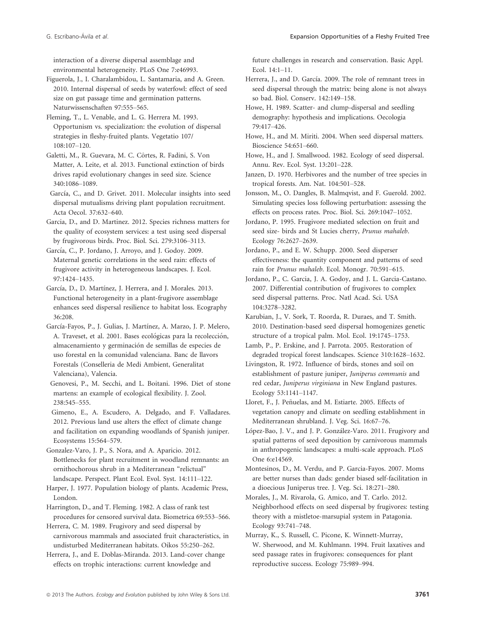interaction of a diverse dispersal assemblage and environmental heterogeneity. PLoS One 7:e46993.

Figuerola, J., I. Charalambidou, L. Santamaria, and A. Green. 2010. Internal dispersal of seeds by waterfowl: effect of seed size on gut passage time and germination patterns. Naturwissenschaften 97:555–565.

Fleming, T., L. Venable, and L. G. Herrera M. 1993. Opportunism vs. specialization: the evolution of dispersal strategies in fleshy-fruited plants. Vegetatio 107/ 108:107–120.

Galetti, M., R. Guevara, M. C. Cortes, R. Fadini, S. Von ^ Matter, A. Leite, et al. 2013. Functional extinction of birds drives rapid evolutionary changes in seed size. Science 340:1086–1089.

García, C., and D. Grivet. 2011. Molecular insights into seed dispersal mutualisms driving plant population recruitment. Acta Oecol. 37:632–640.

Garcia, D., and D. Martinez. 2012. Species richness matters for the quality of ecosystem services: a test using seed dispersal by frugivorous birds. Proc. Biol. Sci. 279:3106–3113.

García, C., P. Jordano, J. Arroyo, and J. Godoy. 2009. Maternal genetic correlations in the seed rain: effects of frugivore activity in heterogeneous landscapes. J. Ecol. 97:1424–1435.

García, D., D. Martínez, J. Herrera, and J. Morales. 2013. Functional heterogeneity in a plant-frugivore assemblage enhances seed dispersal resilience to habitat loss. Ecography 36:208.

García-Fayos, P., J. Gulias, J. Martínez, A. Marzo, J. P. Melero, A. Traveset, et al. 2001. Bases ecológicas para la recolección, almacenamiento y germinacion de semillas de especies de uso forestal en la comunidad valenciana. Banc de llavors Forestals (Conselleria de Medi Ambient, Generalitat Valenciana), Valencia.

Genovesi, P., M. Secchi, and L. Boitani. 1996. Diet of stone martens: an example of ecological flexibility. J. Zool. 238:545–555.

Gimeno, E., A. Escudero, A. Delgado, and F. Valladares. 2012. Previous land use alters the effect of climate change and facilitation on expanding woodlands of Spanish juniper. Ecosystems 15:564–579.

Gonzalez-Varo, J. P., S. Nora, and A. Aparicio. 2012. Bottlenecks for plant recruitment in woodland remnants: an ornithochorous shrub in a Mediterranean "relictual" landscape. Perspect. Plant Ecol. Evol. Syst. 14:111–122.

Harper, J. 1977. Population biology of plants. Academic Press, London.

Harrington, D., and T. Fleming. 1982. A class of rank test procedures for censored survival data. Biometrica 69:553–566.

Herrera, C. M. 1989. Frugivory and seed dispersal by carnivorous mammals and associated fruit characteristics, in undisturbed Mediterranean habitats. Oikos 55:250–262.

Herrera, J., and E. Doblas-Miranda. 2013. Land-cover change effects on trophic interactions: current knowledge and

future challenges in research and conservation. Basic Appl. Ecol. 14:1–11.

Herrera, J., and D. García. 2009. The role of remnant trees in seed dispersal through the matrix: being alone is not always so bad. Biol. Conserv. 142:149–158.

Howe, H. 1989. Scatter- and clump-dispersal and seedling demography: hypothesis and implications. Oecologia 79:417–426.

Howe, H., and M. Miriti. 2004. When seed dispersal matters. Bioscience 54:651–660.

Howe, H., and J. Smallwood. 1982. Ecology of seed dispersal. Annu. Rev. Ecol. Syst. 13:201–228.

Janzen, D. 1970. Herbivores and the number of tree species in tropical forests. Am. Nat. 104:501–528.

Jonsson, M., O. Dangles, B. Malmqvist, and F. Guerold. 2002. Simulating species loss following perturbation: assessing the effects on process rates. Proc. Biol. Sci. 269:1047–1052.

Jordano, P. 1995. Frugivore mediated selection on fruit and seed size- birds and St Lucies cherry, Prunus mahaleb. Ecology 76:2627–2639.

Jordano, P., and E. W. Schupp. 2000. Seed disperser effectiveness: the quantity component and patterns of seed rain for Prunus mahaleb. Ecol. Monogr. 70:591–615.

Jordano, P., C. Garcia, J. A. Godoy, and J. L. Garcia-Castano. 2007. Differential contribution of frugivores to complex seed dispersal patterns. Proc. Natl Acad. Sci. USA 104:3278–3282.

Karubian, J., V. Sork, T. Roorda, R. Duraes, and T. Smith. 2010. Destination-based seed dispersal homogenizes genetic structure of a tropical palm. Mol. Ecol. 19:1745–1753.

Lamb, P., P. Erskine, and J. Parrota. 2005. Restoration of degraded tropical forest landscapes. Science 310:1628–1632.

Livingston, R. 1972. Influence of birds, stones and soil on establishment of pasture juniper, Juniperus communis and red cedar, Juniperus virginiana in New England pastures. Ecology 53:1141–1147.

Lloret, F., J. Peñuelas, and M. Estiarte. 2005. Effects of vegetation canopy and climate on seedling establishment in Mediterranean shrubland. J. Veg. Sci. 16:67–76.

López-Bao, J. V., and J. P. González-Varo. 2011. Frugivory and spatial patterns of seed deposition by carnivorous mammals in anthropogenic landscapes: a multi-scale approach. PLoS One 6:e14569.

Montesinos, D., M. Verdu, and P. Garcia-Fayos. 2007. Moms are better nurses than dads: gender biased self-facilitation in a dioecious Juniperus tree. J. Veg. Sci. 18:271–280.

Morales, J., M. Rivarola, G. Amico, and T. Carlo. 2012. Neighborhood effects on seed dispersal by frugivores: testing theory with a mistletoe-marsupial system in Patagonia. Ecology 93:741–748.

Murray, K., S. Russell, C. Picone, K. Winnett-Murray, W. Sherwood, and M. Kuhlmann. 1994. Fruit laxatives and seed passage rates in frugivores: consequences for plant reproductive success. Ecology 75:989–994.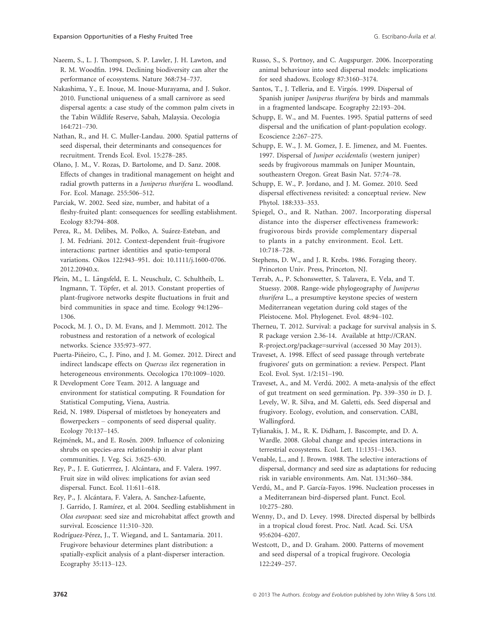Naeem, S., L. J. Thompson, S. P. Lawler, J. H. Lawton, and R. M. Woodfin. 1994. Declining biodiversity can alter the performance of ecosystems. Nature 368:734–737.

Nakashima, Y., E. Inoue, M. Inoue-Murayama, and J. Sukor. 2010. Functional uniqueness of a small carnivore as seed dispersal agents: a case study of the common palm civets in the Tabin Wildlife Reserve, Sabah, Malaysia. Oecologia 164:721–730.

Nathan, R., and H. C. Muller-Landau. 2000. Spatial patterns of seed dispersal, their determinants and consequences for recruitment. Trends Ecol. Evol. 15:278–285.

Olano, J. M., V. Rozas, D. Bartolome, and D. Sanz. 2008. Effects of changes in traditional management on height and radial growth patterns in a Juniperus thurifera L. woodland. For. Ecol. Manage. 255:506–512.

Parciak, W. 2002. Seed size, number, and habitat of a fleshy-fruited plant: consequences for seedling establishment. Ecology 83:794–808.

Perea, R., M. Delibes, M. Polko, A. Suárez-Esteban, and J. M. Fedriani. 2012. Context-dependent fruit–frugivore interactions: partner identities and spatio-temporal variations. Oikos 122:943–951. doi: 10.1111/j.1600-0706. 2012.20940.x.

Plein, M., L. Längsfeld, E. L. Neuschulz, C. Schultheib, L. Ingmann, T. Töpfer, et al. 2013. Constant properties of plant-frugivore networks despite fluctuations in fruit and bird communities in space and time. Ecology 94:1296– 1306.

Pocock, M. J. O., D. M. Evans, and J. Memmott. 2012. The robustness and restoration of a network of ecological networks. Science 335:973–977.

Puerta-Piñeiro, C., J. Pino, and J. M. Gomez. 2012. Direct and indirect landscape effects on Quercus ilex regeneration in heterogeneous environments. Oecologica 170:1009–1020.

R Development Core Team. 2012. A language and environment for statistical computing. R Foundation for Statistical Computing, Viena, Austria.

Reid, N. 1989. Dispersal of mistletoes by honeyeaters and flowerpeckers – components of seed dispersal quality. Ecology 70:137–145.

Rejmének, M., and E. Rosén. 2009. Influence of colonizing shrubs on species-area relationship in alvar plant communities. J. Veg. Sci. 3:625–630.

Rey, P., J. E. Gutierrrez, J. Alcantara, and F. Valera. 1997. Fruit size in wild olives: implications for avian seed dispersal. Funct. Ecol. 11:611–618.

Rey, P., J. Alcantara, F. Valera, A. Sanchez-Lafuente, J. Garrido, J. Ramírez, et al. 2004. Seedling establishment in Olea europaea: seed size and microhabitat affect growth and survival. Ecoscience 11:310–320.

Rodríguez-Pérez, J., T. Wiegand, and L. Santamaria. 2011. Frugivore behaviour determines plant distribution: a spatially-explicit analysis of a plant-disperser interaction. Ecography 35:113–123.

Russo, S., S. Portnoy, and C. Augspurger. 2006. Incorporating animal behaviour into seed dispersal models: implications for seed shadows. Ecology 87:3160–3174.

Santos, T., J. Telleria, and E. Virgós. 1999. Dispersal of Spanish juniper Juniperus thurifera by birds and mammals in a fragmented landscape. Ecography 22:193–204.

Schupp, E. W., and M. Fuentes. 1995. Spatial patterns of seed dispersal and the unification of plant-population ecology. Ecoscience 2:267–275.

Schupp, E. W., J. M. Gomez, J. E. Jimenez, and M. Fuentes. 1997. Dispersal of Juniper occidentalis (western juniper) seeds by frugivorous mammals on Juniper Mountain, southeastern Oregon. Great Basin Nat. 57:74–78.

Schupp, E. W., P. Jordano, and J. M. Gomez. 2010. Seed dispersal effectiveness revisited: a conceptual review. New Phytol. 188:333–353.

Spiegel, O., and R. Nathan. 2007. Incorporating dispersal distance into the disperser effectiveness framework: frugivorous birds provide complementary dispersal to plants in a patchy environment. Ecol. Lett. 10:718–728.

Stephens, D. W., and J. R. Krebs. 1986. Foraging theory. Princeton Univ. Press, Princeton, NJ.

Terrab, A., P. Schonswetter, S. Talavera, E. Vela, and T. Stuessy. 2008. Range-wide phylogeography of Juniperus thurifera L., a presumptive keystone species of western Mediterranean vegetation during cold stages of the Pleistocene. Mol. Phylogenet. Evol. 48:94–102.

Therneu, T. 2012. Survival: a package for survival analysis in S. R package version 2.36-14. Available at http://CRAN. R-project.org/package=survival (accessed 30 May 2013).

Traveset, A. 1998. Effect of seed passage through vertebrate frugivores′ guts on germination: a review. Perspect. Plant Ecol. Evol. Syst. 1/2:151–190.

Traveset, A., and M. Verdú. 2002. A meta-analysis of the effect of gut treatment on seed germination. Pp. 339–350 in D. J. Levely, W. R. Silva, and M. Galetti, eds. Seed dispersal and frugivory. Ecology, evolution, and conservation. CABI, Wallingford.

Tylianakis, J. M., R. K. Didham, J. Bascompte, and D. A. Wardle. 2008. Global change and species interactions in terrestrial ecosystems. Ecol. Lett. 11:1351–1363.

Venable, L., and J. Brown. 1988. The selective interactions of dispersal, dormancy and seed size as adaptations for reducing risk in variable environments. Am. Nat. 131:360–384.

Verdú, M., and P. García-Fayos. 1996. Nucleation processes in a Mediterranean bird-dispersed plant. Funct. Ecol. 10:275–280.

Wenny, D., and D. Levey. 1998. Directed dispersal by bellbirds in a tropical cloud forest. Proc. Natl. Acad. Sci. USA 95:6204–6207.

Westcott, D., and D. Graham. 2000. Patterns of movement and seed dispersal of a tropical frugivore. Oecologia 122:249–257.